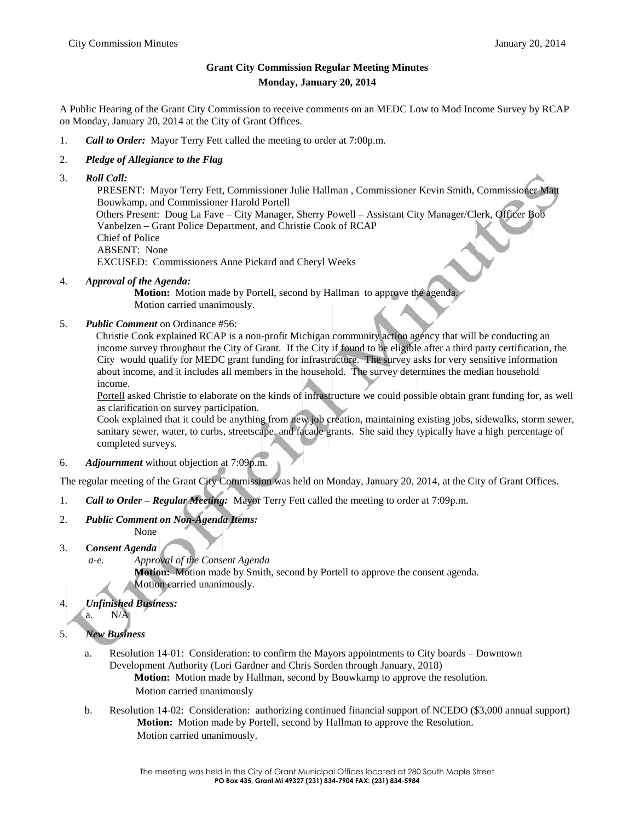## **Grant City Commission Regular Meeting Minutes Monday, January 20, 2014**

A Public Hearing of the Grant City Commission to receive comments on an MEDC Low to Mod Income Survey by RCAP on Monday, January 20, 2014 at the City of Grant Offices.

1. *Call to Order:* Mayor Terry Fett called the meeting to order at 7:00p.m.

## 2. *Pledge of Allegiance to the Flag*

3. *Roll Call:*

PRESENT: Mayor Terry Fett, Commissioner Julie Hallman , Commissioner Kevin Smith, Commissioner Matt Bouwkamp, and Commissioner Harold Portell Others Present: Doug La Fave – City Manager, Sherry Powell – Assistant City Manager/Clerk, Officer Bob Vanbelzen – Grant Police Department, and Christie Cook of RCAP Chief of Police ABSENT: None EXCUSED: Commissioners Anne Pickard and Cheryl Weeks

4. *Approval of the Agenda:*

**Motion:** Motion made by Portell, second by Hallman to approve the agenda. Motion carried unanimously.

5. *Public Comment* on Ordinance #56:

Christie Cook explained RCAP is a non-profit Michigan community action agency that will be conducting an income survey throughout the City of Grant. If the City if found to be eligible after a third party certification, the City would qualify for MEDC grant funding for infrastructure. The survey asks for very sensitive information about income, and it includes all members in the household. The survey determines the median household income.

Portell asked Christie to elaborate on the kinds of infrastructure we could possible obtain grant funding for, as well as clarification on survey participation.

Cook explained that it could be anything from new job creation, maintaining existing jobs, sidewalks, storm sewer, sanitary sewer, water, to curbs, streetscape, and facade grants. She said they typically have a high percentage of completed surveys.

6. *Adjournment* without objection at 7:09p.m.

The regular meeting of the Grant City Commission was held on Monday, January 20, 2014, at the City of Grant Offices.

- 1. *Call to Order – Regular Meeting:* Mayor Terry Fett called the meeting to order at 7:09p.m.
- 2. *Public Comment on Non-Agenda Items:*

None

- 3. **C***onsent Agenda*
	- *a-e. Approval of the Consent Agenda*

**Motion:** Motion made by Smith, second by Portell to approve the consent agenda. Motion carried unanimously.

- 4. *Unfinished Business:* a. N/A
- 5. *New Business*
	- a. Resolution 14-01: Consideration: to confirm the Mayors appointments to City boards Downtown Development Authority (Lori Gardner and Chris Sorden through January, 2018) **Motion:** Motion made by Hallman, second by Bouwkamp to approve the resolution. Motion carried unanimously
	- b. Resolution 14-02: Consideration: authorizing continued financial support of NCEDO (\$3,000 annual support) **Motion:** Motion made by Portell, second by Hallman to approve the Resolution. Motion carried unanimously.